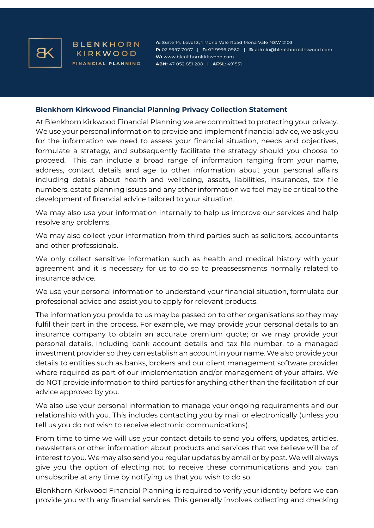

**BLENKHORN** KIRKWOOD FINANCIAL PLANNING

A: Suite 14, Level 3, 1 Mona Vale Road Mona Vale NSW 2103 P: 02 9997 7007 | F: 02 9999 0960 | E: admin@blenkhornkirkwood.com W: www.blenkhornkirkwood.com ABN: 47 052 851 288 | AFSL: 491551

## **Blenkhorn Kirkwood Financial Planning Privacy Collection Statement**

At Blenkhorn Kirkwood Financial Planning we are committed to protecting your privacy. We use your personal information to provide and implement financial advice, we ask you for the information we need to assess your financial situation, needs and objectives, formulate a strategy, and subsequently facilitate the strategy should you choose to proceed. This can include a broad range of information ranging from your name, address, contact details and age to other information about your personal affairs including details about health and wellbeing, assets, liabilities, insurances, tax file numbers, estate planning issues and any other information we feel may be critical to the development of financial advice tailored to your situation.

We may also use your information internally to help us improve our services and help resolve any problems.

We may also collect your information from third parties such as solicitors, accountants and other professionals.

We only collect sensitive information such as health and medical history with your agreement and it is necessary for us to do so to preassessments normally related to insurance advice.

We use your personal information to understand your financial situation, formulate our professional advice and assist you to apply for relevant products.

The information you provide to us may be passed on to other organisations so they may fulfil their part in the process. For example, we may provide your personal details to an insurance company to obtain an accurate premium quote; or we may provide your personal details, including bank account details and tax file number, to a managed investment provider so they can establish an account in your name. We also provide your details to entities such as banks, brokers and our client management software provider where required as part of our implementation and/or management of your affairs. We do NOT provide information to third parties for anything other than the facilitation of our advice approved by you.

We also use your personal information to manage your ongoing requirements and our relationship with you. This includes contacting you by mail or electronically (unless you tell us you do not wish to receive electronic communications).

From time to time we will use your contact details to send you offers, updates, articles, newsletters or other information about products and services that we believe will be of interest to you. We may also send you regular updates by email or by post. We will always give you the option of electing not to receive these communications and you can unsubscribe at any time by notifying us that you wish to do so.

Blenkhorn Kirkwood Financial Planning is required to verify your identity before we can provide you with any financial services. This generally involves collecting and checking